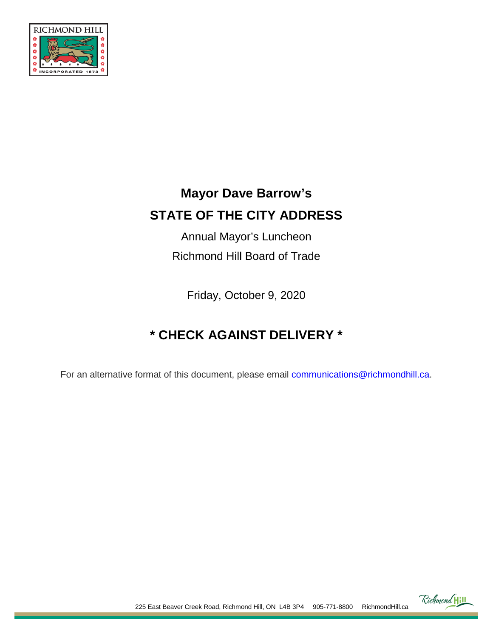

# **Mayor Dave Barrow's STATE OF THE CITY ADDRESS**

Annual Mayor's Luncheon Richmond Hill Board of Trade

Friday, October 9, 2020

# **\* CHECK AGAINST DELIVERY \***

For an alternative format of this document, please email [communications@richmondhill.ca.](mailto:communications@richmondhill.ca)



225 East Beaver Creek Road, Richmond Hill, ON L4B 3P4 905-771-8800 RichmondHill.ca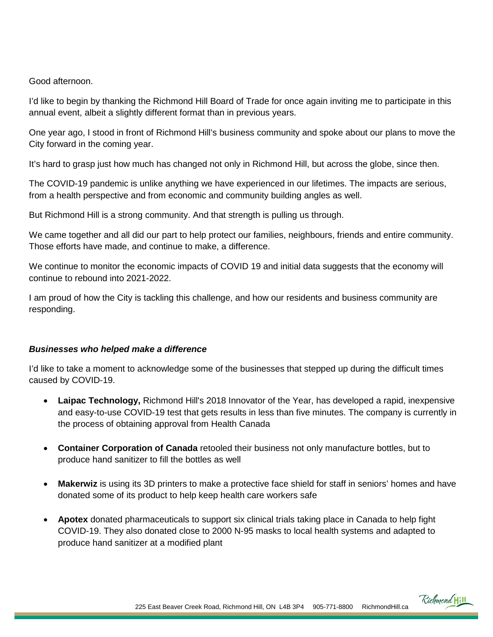Good afternoon.

I'd like to begin by thanking the Richmond Hill Board of Trade for once again inviting me to participate in this annual event, albeit a slightly different format than in previous years.

One year ago, I stood in front of Richmond Hill's business community and spoke about our plans to move the City forward in the coming year.

It's hard to grasp just how much has changed not only in Richmond Hill, but across the globe, since then.

The COVID-19 pandemic is unlike anything we have experienced in our lifetimes. The impacts are serious, from a health perspective and from economic and community building angles as well.

But Richmond Hill is a strong community. And that strength is pulling us through.

We came together and all did our part to help protect our families, neighbours, friends and entire community. Those efforts have made, and continue to make, a difference.

We continue to monitor the economic impacts of COVID 19 and initial data suggests that the economy will continue to rebound into 2021-2022.

I am proud of how the City is tackling this challenge, and how our residents and business community are responding.

#### *Businesses who helped make a difference*

I'd like to take a moment to acknowledge some of the businesses that stepped up during the difficult times caused by COVID-19.

- **Laipac Technology,** Richmond Hill's 2018 Innovator of the Year, has developed a rapid, inexpensive and easy-to-use COVID-19 test that gets results in less than five minutes. The company is currently in the process of obtaining approval from Health Canada
- **Container Corporation of Canada** retooled their business not only manufacture bottles, but to produce hand sanitizer to fill the bottles as well
- **Makerwiz** is using its 3D printers to make a protective face shield for staff in seniors' homes and have donated some of its product to help keep health care workers safe
- **Apotex** donated pharmaceuticals to support six clinical trials taking place in Canada to help fight COVID-19. They also donated close to 2000 N-95 masks to local health systems and adapted to produce hand sanitizer at a modified plant

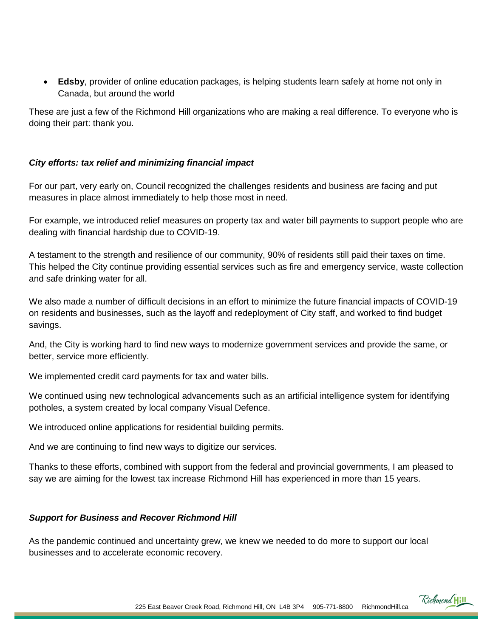• **Edsby**, provider of online education packages, is helping students learn safely at home not only in Canada, but around the world

These are just a few of the Richmond Hill organizations who are making a real difference. To everyone who is doing their part: thank you.

## *City efforts: tax relief and minimizing financial impact*

For our part, very early on, Council recognized the challenges residents and business are facing and put measures in place almost immediately to help those most in need.

For example, we introduced relief measures on property tax and water bill payments to support people who are dealing with financial hardship due to COVID-19.

A testament to the strength and resilience of our community, 90% of residents still paid their taxes on time. This helped the City continue providing essential services such as fire and emergency service, waste collection and safe drinking water for all.

We also made a number of difficult decisions in an effort to minimize the future financial impacts of COVID-19 on residents and businesses, such as the layoff and redeployment of City staff, and worked to find budget savings.

And, the City is working hard to find new ways to modernize government services and provide the same, or better, service more efficiently.

We implemented credit card payments for tax and water bills.

We continued using new technological advancements such as an artificial intelligence system for identifying potholes, a system created by local company Visual Defence.

We introduced online applications for residential building permits.

And we are continuing to find new ways to digitize our services.

Thanks to these efforts, combined with support from the federal and provincial governments, I am pleased to say we are aiming for the lowest tax increase Richmond Hill has experienced in more than 15 years.

#### *Support for Business and Recover Richmond Hill*

As the pandemic continued and uncertainty grew, we knew we needed to do more to support our local businesses and to accelerate economic recovery.

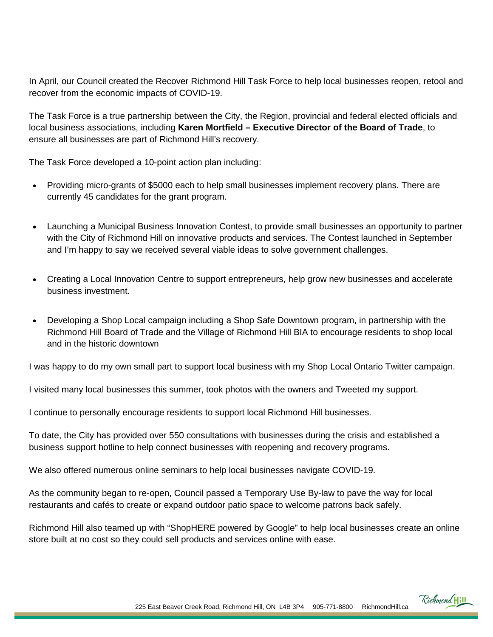In April, our Council created the Recover Richmond Hill Task Force to help local businesses reopen, retool and recover from the economic impacts of COVID-19.

The Task Force is a true partnership between the City, the Region, provincial and federal elected officials and local business associations, including **Karen Mortfield – Executive Director of the Board of Trade**, to ensure all businesses are part of Richmond Hill's recovery.

The Task Force developed a 10-point action plan including:

- Providing micro-grants of \$5000 each to help small businesses implement recovery plans. There are currently 45 candidates for the grant program.
- Launching a Municipal Business Innovation Contest, to provide small businesses an opportunity to partner with the City of Richmond Hill on innovative products and services. The Contest launched in September and I'm happy to say we received several viable ideas to solve government challenges.
- Creating a Local Innovation Centre to support entrepreneurs, help grow new businesses and accelerate business investment.
- Developing a Shop Local campaign including a Shop Safe Downtown program, in partnership with the Richmond Hill Board of Trade and the Village of Richmond Hill BIA to encourage residents to shop local and in the historic downtown

I was happy to do my own small part to support local business with my Shop Local Ontario Twitter campaign.

I visited many local businesses this summer, took photos with the owners and Tweeted my support.

I continue to personally encourage residents to support local Richmond Hill businesses.

To date, the City has provided over 550 consultations with businesses during the crisis and established a business support hotline to help connect businesses with reopening and recovery programs.

We also offered numerous online seminars to help local businesses navigate COVID-19.

As the community began to re-open, Council passed a Temporary Use By-law to pave the way for local restaurants and cafés to create or expand outdoor patio space to welcome patrons back safely.

Richmond Hill also teamed up with "ShopHERE powered by Google" to help local businesses create an online store built at no cost so they could sell products and services online with ease.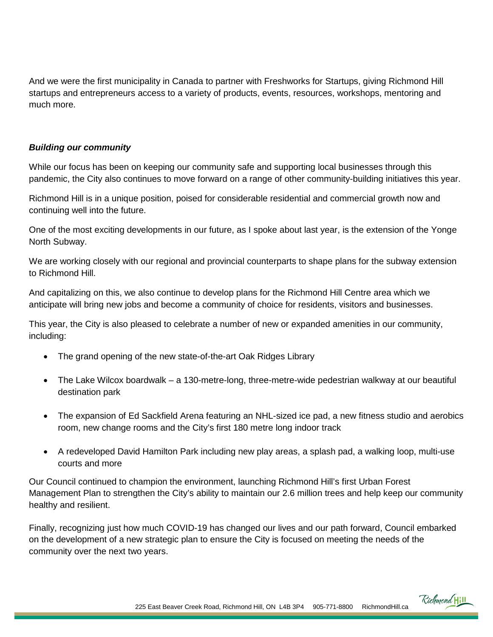And we were the first municipality in Canada to partner with Freshworks for Startups, giving Richmond Hill startups and entrepreneurs access to a variety of products, events, resources, workshops, mentoring and much more.

## *Building our community*

While our focus has been on keeping our community safe and supporting local businesses through this pandemic, the City also continues to move forward on a range of other community-building initiatives this year.

Richmond Hill is in a unique position, poised for considerable residential and commercial growth now and continuing well into the future.

One of the most exciting developments in our future, as I spoke about last year, is the extension of the Yonge North Subway.

We are working closely with our regional and provincial counterparts to shape plans for the subway extension to Richmond Hill.

And capitalizing on this, we also continue to develop plans for the Richmond Hill Centre area which we anticipate will bring new jobs and become a community of choice for residents, visitors and businesses.

This year, the City is also pleased to celebrate a number of new or expanded amenities in our community, including:

- The grand opening of the new state-of-the-art Oak Ridges Library
- The Lake Wilcox boardwalk a 130-metre-long, three-metre-wide pedestrian walkway at our beautiful destination park
- The expansion of Ed Sackfield Arena featuring an NHL-sized ice pad, a new fitness studio and aerobics room, new change rooms and the City's first 180 metre long indoor track
- A redeveloped David Hamilton Park including new play areas, a splash pad, a walking loop, multi-use courts and more

Our Council continued to champion the environment, launching Richmond Hill's first Urban Forest Management Plan to strengthen the City's ability to maintain our 2.6 million trees and help keep our community healthy and resilient.

Finally, recognizing just how much COVID-19 has changed our lives and our path forward, Council embarked on the development of a new strategic plan to ensure the City is focused on meeting the needs of the community over the next two years.